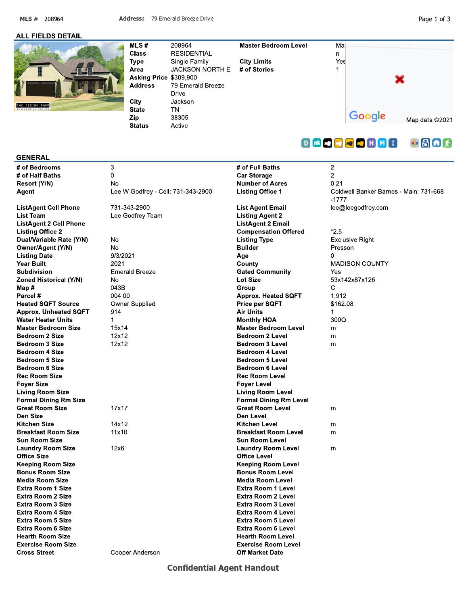MLS # 208964

Page 1 of 3

#### **ALL FIELDS DETAIL**



MLS# 208964 **Master Bedroom Level Class RESIDENTIAL Type** Single Family **City Limits** Area **JACKSON NORTH E** # of Stories Asking Price \$309.900 **Address** 79 Emerald Breeze **Drive** City Jackson **State TN** Zip 38305 **Status** Active



#### **GENERAL**

# of Bedrooms # of Half Baths Resort (Y/N) Agent

**ListAgent Cell Phone List Team ListAgent 2 Cell Phone Listing Office 2** Dual/Variable Rate (Y/N) Owner/Agent (Y/N) **Listing Date Year Built** Subdivision **Zoned Historical (Y/N)** Map# Parcel# **Heated SQFT Source Approx. Unheated SQFT Water Heater Units Master Bedroom Size Bedroom 2 Size** Bedroom 3 Size **Bedroom 4 Size** Bedroom 5 Size Bedroom 6 Size **Rec Room Size Fover Size Living Room Size Formal Dining Rm Size Great Room Size Den Size Kitchen Size Breakfast Room Size Sun Room Size Laundry Room Size Office Size Keeping Room Size Bonus Room Size Media Room Size Extra Room 1 Size Extra Room 2 Size Extra Room 3 Size Extra Room 4 Size Extra Room 5 Size Extra Room 6 Size Hearth Room Size Exercise Room Size Cross Street** 

| 3<br>0<br>No<br>Lee W Godfrey - Cell: 731-343-2900                                                                                     |
|----------------------------------------------------------------------------------------------------------------------------------------|
| 731-343-2900<br>Lee Godfrey Team                                                                                                       |
| No<br>No<br>9/3/2021<br>2021<br><b>Emerald Breeze</b><br>No<br>043B<br>004.00<br>Owner Supplied<br>914<br>1<br>15x14<br>12x12<br>12x12 |
| 17x17                                                                                                                                  |
| 14x12<br>11x10                                                                                                                         |
| 12x6                                                                                                                                   |
|                                                                                                                                        |

# of Full Baths **Car Storage Number of Acres Listing Office 1 List Agent Email Listing Agent 2 ListAgent 2 Email Compensation Offered Listing Type Builder** Age County **Gated Community** Lot Size Group **Approx. Heated SQFT** Price per SQFT **Air Units Monthly HOA Master Bedroom Level Bedroom 2 Level Bedroom 3 Level Bedroom 4 Level Bedroom 5 Level Bedroom 6 Level Rec Room Level Fover Level Living Room Level Formal Dining Rm Level Great Room Level Den Level Kitchen Level Breakfast Room Level Sun Room Level Laundry Room Level Office Level Keeping Room Level Bonus Room Level Media Room Level** Extra Room 1 Level Extra Room 2 Level Extra Room 3 Level Extra Room 4 Level **Extra Room 5 Level Extra Room 6 Level Hearth Room Level** 

**Exercise Room Level** 

**Off Market Date** 

## $\bullet$  8  $\bullet$   $\star$ **DGDDDDHMI**

 $\overline{c}$  $\overline{2}$  $0.21$ Coldwell Banker Barnes - Main: 731-668  $-1777$ lee@leegodfrey.com  $*2.5$ **Exclusive Right** Presson  $\Omega$ **MADISON COUNTY** Yes 53x142x87x126 C 1.912 \$162.08  $\blacktriangleleft$ 300Q m m  $\mathsf{m}$ m  $m$  $\mathsf{m}$  $\mathsf{m}$ 

Cooper Anderson

# **Confidential Agent Handout**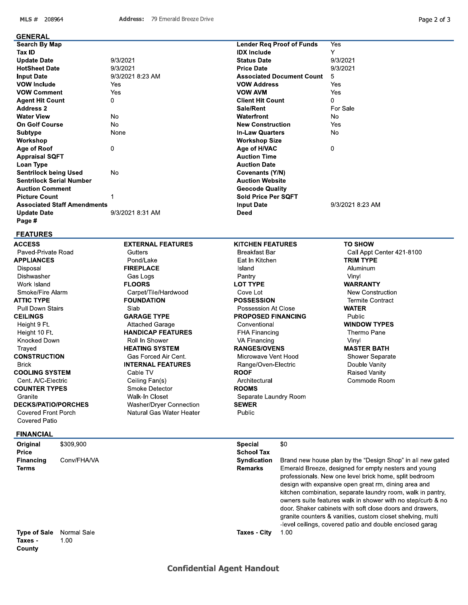MLS # 208964

#### **GENERAL**

| Search By Map                      |               |
|------------------------------------|---------------|
| Tax ID                             |               |
| <b>Update Date</b>                 | 9/3/2021      |
| <b>HotSheet Date</b>               | 9/3/2021      |
| <b>Input Date</b>                  | 9/3/2021 8:23 |
| <b>VOW Include</b>                 | Yes           |
| <b>VOW Comment</b>                 | Yes           |
| <b>Agent Hit Count</b>             | 0             |
| <b>Address 2</b>                   |               |
| <b>Water View</b>                  | No            |
| <b>On Golf Course</b>              | N٥            |
| <b>Subtype</b>                     | None          |
| Workshop                           |               |
| Age of Roof                        | U             |
| <b>Appraisal SQFT</b>              |               |
| Loan Type                          |               |
| Sentrilock being Used              | N٥            |
| Sentrilock Serial Number           |               |
| <b>Auction Comment</b>             |               |
| <b>Picture Count</b>               | 1             |
| <b>Associated Staff Amendments</b> |               |
| <b>Update Date</b>                 | 9/3/2021 8:31 |
| Page #                             |               |

#### **FEATURES**

**ACCESS** Paved-Private Road **APPLIANCES** Disposal Dishwasher Work Island Smoke/Fire Alarm **ATTIC TYPE** Pull Down Stairs **CEILINGS** Height 9 Ft. Height 10 Ft. Knocked Down Trayed **CONSTRUCTION Brick COOLING SYSTEM** Cent. A/C-Electric **COUNTER TYPES** Granite **DECKS/PATIO/PORCHES** Covered Front Porch Covered Patio

#### **FINANCIAL**

| Original<br><b>Price</b>                 | \$309.900           | Special<br><b>School Tax</b>         | \$0                                                                                                                                                                                                                                                                                                                                                                                                                                                                                                                                                      |
|------------------------------------------|---------------------|--------------------------------------|----------------------------------------------------------------------------------------------------------------------------------------------------------------------------------------------------------------------------------------------------------------------------------------------------------------------------------------------------------------------------------------------------------------------------------------------------------------------------------------------------------------------------------------------------------|
| <b>Financing</b><br>Terms                | Conv/FHA/VA         | <b>Syndication</b><br><b>Remarks</b> | Brand new house plan by the "Design Shop" in all new gated<br>Emerald Breeze, designed for empty nesters and young<br>professionals. New one level brick home, split bedroom<br>design with expansive open great rm, dining area and<br>kitchen combination, separate laundry room, walk in pantry,<br>owners suite features walk in shower with no step/curb & no<br>door. Shaker cabinets with soft close doors and drawers.<br>granite counters & vanities, custom closet shelving, multi<br>-level ceilings, covered patio and double enclosed garag |
| <b>Type of Sale</b><br>Taxes -<br>County | Normal Sale<br>1.00 | Taxes - City                         | 1.00                                                                                                                                                                                                                                                                                                                                                                                                                                                                                                                                                     |

|      |                                                     | <b>Lender Req Proof of Funds</b> | Yes                       |
|------|-----------------------------------------------------|----------------------------------|---------------------------|
|      |                                                     | <b>IDX</b> Include               | Y                         |
|      | 9/3/2021                                            | <b>Status Date</b>               | 9/3/2021                  |
|      | 9/3/2021                                            | <b>Price Date</b>                | 9/3/2021                  |
|      | 9/3/2021 8:23 AM                                    | <b>Associated Document Count</b> | 5                         |
|      | Yes                                                 | <b>VOW Address</b>               | Yes                       |
|      | Yes                                                 | <b>VOW AVM</b>                   | Yes                       |
|      | 0                                                   | <b>Client Hit Count</b>          | 0                         |
|      |                                                     | Sale/Rent                        | For Sale                  |
|      | <b>No</b>                                           | Waterfront                       | <b>No</b>                 |
|      | <b>No</b>                                           | <b>New Construction</b>          | Yes                       |
|      | None                                                | <b>In-Law Quarters</b>           | <b>No</b>                 |
|      |                                                     | <b>Workshop Size</b>             |                           |
|      | 0                                                   | Age of H/VAC                     | 0                         |
|      |                                                     | <b>Auction Time</b>              |                           |
|      |                                                     | <b>Auction Date</b>              |                           |
|      | No                                                  | Covenants (Y/N)                  |                           |
|      |                                                     | <b>Auction Website</b>           |                           |
|      |                                                     | <b>Geocode Quality</b>           |                           |
|      | $\mathbf{1}$                                        | Sold Price Per SQFT              |                           |
|      |                                                     |                                  | 9/3/2021 8:23 AM          |
|      |                                                     | <b>Input Date</b><br><b>Deed</b> |                           |
|      | 9/3/2021 8:31 AM                                    |                                  |                           |
|      |                                                     |                                  |                           |
|      | <b>EXTERNAL FEATURES</b>                            | <b>KITCHEN FEATURES</b>          | <b>TO SHOW</b>            |
|      | Gutters                                             | <b>Breakfast Bar</b>             | Call Appt Center 421-8100 |
|      | Pond/Lake                                           | Eat In Kitchen                   | <b>TRIM TYPE</b>          |
|      | <b>FIREPLACE</b>                                    | Island                           | Aluminum                  |
|      | Gas Logs                                            | Pantry                           | Vinyl                     |
|      | <b>FLOORS</b>                                       | <b>LOT TYPE</b>                  | <b>WARRANTY</b>           |
|      | Carpet/Tile/Hardwood                                | Cove Lot                         | <b>New Construction</b>   |
|      | <b>FOUNDATION</b>                                   | <b>POSSESSION</b>                | <b>Termite Contract</b>   |
|      | Slab                                                | Possession At Close              | <b>WATER</b>              |
|      | <b>GARAGE TYPE</b>                                  | <b>PROPOSED FINANCING</b>        | Public                    |
|      | <b>Attached Garage</b>                              | Conventional                     | <b>WINDOW TYPES</b>       |
|      | <b>HANDICAP FEATURES</b>                            | <b>FHA Financing</b>             | Thermo Pane               |
|      | Roll In Shower                                      | VA Financing                     | Vinyl                     |
|      | <b>HEATING SYSTEM</b>                               | <b>RANGES/OVENS</b>              | <b>MASTER BATH</b>        |
|      | Gas Forced Air Cent.                                | Microwave Vent Hood              | <b>Shower Separate</b>    |
|      | <b>INTERNAL FEATURES</b>                            | Range/Oven-Electric              | Double Vanity             |
|      | Cable TV                                            | <b>ROOF</b>                      | Raised Vanity             |
|      | Ceiling Fan(s)                                      | Architectural                    | Commode Room              |
|      | Smoke Detector                                      | <b>ROOMS</b>                     |                           |
|      | Walk-In Closet                                      | Separate Laundry Room            |                           |
| ents | Washer/Dryer Connection<br>Natural Gas Water Heater | <b>SEWER</b><br>Public           |                           |